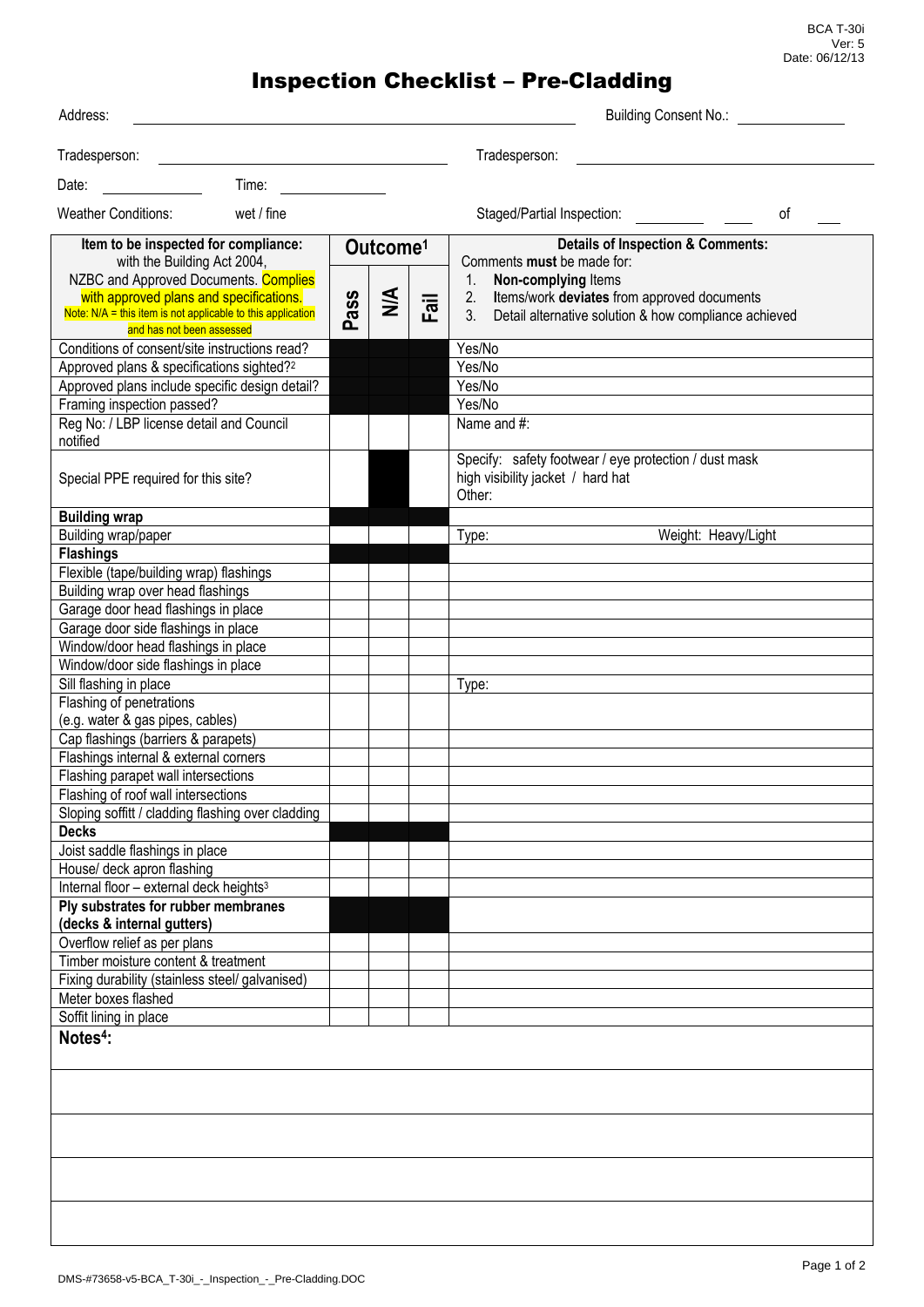BCA T-30i Ver: 5 Date: 06/12/13

## Inspection Checklist – Pre-Cladding

| Address:                                                                                                                                                                                                                                            |      |                                       |         | <b>Building Consent No.:</b>                                                                                                                                                                                                |
|-----------------------------------------------------------------------------------------------------------------------------------------------------------------------------------------------------------------------------------------------------|------|---------------------------------------|---------|-----------------------------------------------------------------------------------------------------------------------------------------------------------------------------------------------------------------------------|
| Tradesperson:                                                                                                                                                                                                                                       |      |                                       |         | Tradesperson:                                                                                                                                                                                                               |
| Time:<br>Date:                                                                                                                                                                                                                                      |      |                                       |         |                                                                                                                                                                                                                             |
| <b>Weather Conditions:</b><br>wet / fine                                                                                                                                                                                                            |      |                                       |         | Staged/Partial Inspection:<br>οf                                                                                                                                                                                            |
| Item to be inspected for compliance:<br>with the Building Act 2004,<br>NZBC and Approved Documents. Complies<br>with approved plans and specifications.<br>Note: N/A = this item is not applicable to this application<br>and has not been assessed | Pass | Outcome <sup>1</sup><br>$\frac{4}{2}$ | 一で<br>ட | <b>Details of Inspection &amp; Comments:</b><br>Comments must be made for:<br>Non-complying Items<br>1.<br>Items/work deviates from approved documents<br>2.<br>3.<br>Detail alternative solution & how compliance achieved |
| Conditions of consent/site instructions read?                                                                                                                                                                                                       |      |                                       |         | Yes/No                                                                                                                                                                                                                      |
| Approved plans & specifications sighted? <sup>2</sup>                                                                                                                                                                                               |      |                                       |         | Yes/No                                                                                                                                                                                                                      |
| Approved plans include specific design detail?                                                                                                                                                                                                      |      |                                       |         | Yes/No                                                                                                                                                                                                                      |
| Framing inspection passed?                                                                                                                                                                                                                          |      |                                       |         | Yes/No                                                                                                                                                                                                                      |
| Reg No: / LBP license detail and Council<br>notified                                                                                                                                                                                                |      |                                       |         | Name and #:                                                                                                                                                                                                                 |
| Special PPE required for this site?                                                                                                                                                                                                                 |      |                                       |         | Specify: safety footwear / eye protection / dust mask<br>high visibility jacket / hard hat<br>Other:                                                                                                                        |
| <b>Building wrap</b>                                                                                                                                                                                                                                |      |                                       |         |                                                                                                                                                                                                                             |
| Building wrap/paper                                                                                                                                                                                                                                 |      |                                       |         | Weight: Heavy/Light<br>Type:                                                                                                                                                                                                |
| <b>Flashings</b>                                                                                                                                                                                                                                    |      |                                       |         |                                                                                                                                                                                                                             |
| Flexible (tape/building wrap) flashings                                                                                                                                                                                                             |      |                                       |         |                                                                                                                                                                                                                             |
| Building wrap over head flashings                                                                                                                                                                                                                   |      |                                       |         |                                                                                                                                                                                                                             |
| Garage door head flashings in place                                                                                                                                                                                                                 |      |                                       |         |                                                                                                                                                                                                                             |
| Garage door side flashings in place                                                                                                                                                                                                                 |      |                                       |         |                                                                                                                                                                                                                             |
| Window/door head flashings in place                                                                                                                                                                                                                 |      |                                       |         |                                                                                                                                                                                                                             |
| Window/door side flashings in place                                                                                                                                                                                                                 |      |                                       |         |                                                                                                                                                                                                                             |
| Sill flashing in place                                                                                                                                                                                                                              |      |                                       |         | Type:                                                                                                                                                                                                                       |
| Flashing of penetrations                                                                                                                                                                                                                            |      |                                       |         |                                                                                                                                                                                                                             |
| (e.g. water & gas pipes, cables)                                                                                                                                                                                                                    |      |                                       |         |                                                                                                                                                                                                                             |
| Cap flashings (barriers & parapets)                                                                                                                                                                                                                 |      |                                       |         |                                                                                                                                                                                                                             |
| Flashings internal & external corners                                                                                                                                                                                                               |      |                                       |         |                                                                                                                                                                                                                             |
| Flashing parapet wall intersections                                                                                                                                                                                                                 |      |                                       |         |                                                                                                                                                                                                                             |
| Flashing of roof wall intersections                                                                                                                                                                                                                 |      |                                       |         |                                                                                                                                                                                                                             |
| Sloping soffitt / cladding flashing over cladding                                                                                                                                                                                                   |      |                                       |         |                                                                                                                                                                                                                             |
| <b>Decks</b>                                                                                                                                                                                                                                        |      |                                       |         |                                                                                                                                                                                                                             |
| Joist saddle flashings in place                                                                                                                                                                                                                     |      |                                       |         |                                                                                                                                                                                                                             |
| House/ deck apron flashing                                                                                                                                                                                                                          |      |                                       |         |                                                                                                                                                                                                                             |
| Internal floor - external deck heights <sup>3</sup>                                                                                                                                                                                                 |      |                                       |         |                                                                                                                                                                                                                             |
| Ply substrates for rubber membranes                                                                                                                                                                                                                 |      |                                       |         |                                                                                                                                                                                                                             |
| (decks & internal gutters)                                                                                                                                                                                                                          |      |                                       |         |                                                                                                                                                                                                                             |
| Overflow relief as per plans                                                                                                                                                                                                                        |      |                                       |         |                                                                                                                                                                                                                             |
| Timber moisture content & treatment                                                                                                                                                                                                                 |      |                                       |         |                                                                                                                                                                                                                             |
| Fixing durability (stainless steel/ galvanised)                                                                                                                                                                                                     |      |                                       |         |                                                                                                                                                                                                                             |
| Meter boxes flashed                                                                                                                                                                                                                                 |      |                                       |         |                                                                                                                                                                                                                             |
| Soffit lining in place                                                                                                                                                                                                                              |      |                                       |         |                                                                                                                                                                                                                             |
| Notes <sup>4</sup> :                                                                                                                                                                                                                                |      |                                       |         |                                                                                                                                                                                                                             |
|                                                                                                                                                                                                                                                     |      |                                       |         |                                                                                                                                                                                                                             |
|                                                                                                                                                                                                                                                     |      |                                       |         |                                                                                                                                                                                                                             |
|                                                                                                                                                                                                                                                     |      |                                       |         |                                                                                                                                                                                                                             |
|                                                                                                                                                                                                                                                     |      |                                       |         |                                                                                                                                                                                                                             |
|                                                                                                                                                                                                                                                     |      |                                       |         |                                                                                                                                                                                                                             |